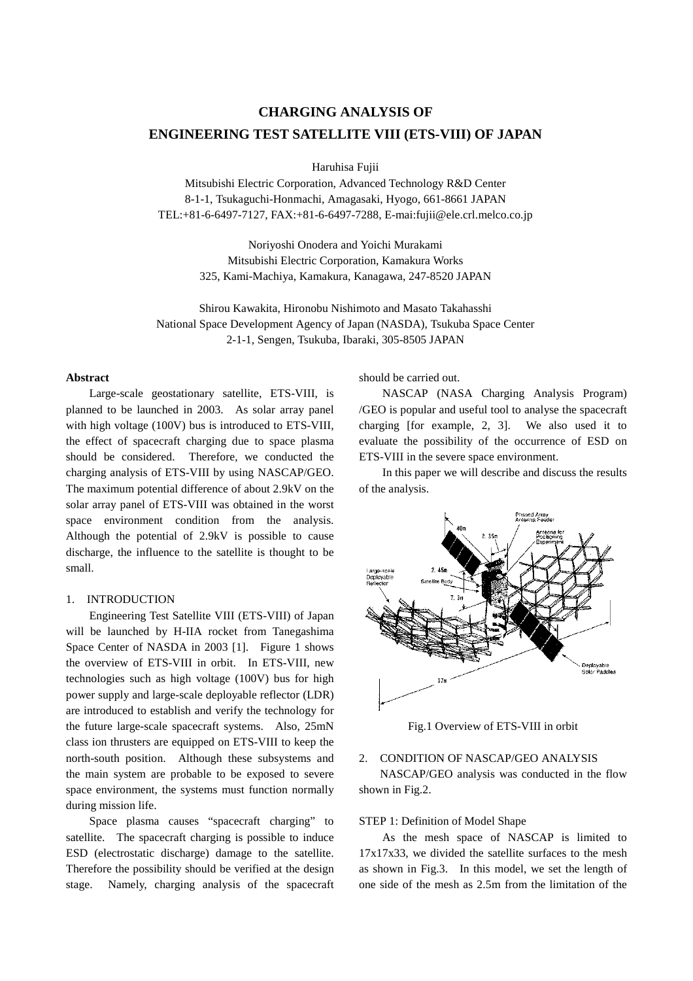# **CHARGING ANALYSIS OF ENGINEERING TEST SATELLITE VIII (ETS-VIII) OF JAPAN**

Haruhisa Fujii

Mitsubishi Electric Corporation, Advanced Technology R&D Center 8-1-1, Tsukaguchi-Honmachi, Amagasaki, Hyogo, 661-8661 JAPAN TEL:+81-6-6497-7127, FAX:+81-6-6497-7288, E-mai:fujii@ele.crl.melco.co.jp

> Noriyoshi Onodera and Yoichi Murakami Mitsubishi Electric Corporation, Kamakura Works 325, Kami-Machiya, Kamakura, Kanagawa, 247-8520 JAPAN

Shirou Kawakita, Hironobu Nishimoto and Masato Takahasshi National Space Development Agency of Japan (NASDA), Tsukuba Space Center 2-1-1, Sengen, Tsukuba, Ibaraki, 305-8505 JAPAN

## **Abstract**

Large-scale geostationary satellite, ETS-VIII, is planned to be launched in 2003. As solar array panel with high voltage (100V) bus is introduced to ETS-VIII, the effect of spacecraft charging due to space plasma should be considered. Therefore, we conducted the charging analysis of ETS-VIII by using NASCAP/GEO. The maximum potential difference of about 2.9kV on the solar array panel of ETS-VIII was obtained in the worst space environment condition from the analysis. Although the potential of 2.9kV is possible to cause discharge, the influence to the satellite is thought to be small.

# 1. INTRODUCTION

Engineering Test Satellite VIII (ETS-VIII) of Japan will be launched by H-IIA rocket from Tanegashima Space Center of NASDA in 2003 [1]. Figure 1 shows the overview of ETS-VIII in orbit. In ETS-VIII, new technologies such as high voltage (100V) bus for high power supply and large-scale deployable reflector (LDR) are introduced to establish and verify the technology for the future large-scale spacecraft systems. Also, 25mN class ion thrusters are equipped on ETS-VIII to keep the north-south position. Although these subsystems and the main system are probable to be exposed to severe space environment, the systems must function normally during mission life.

Space plasma causes "spacecraft charging" to satellite. The spacecraft charging is possible to induce ESD (electrostatic discharge) damage to the satellite. Therefore the possibility should be verified at the design stage. Namely, charging analysis of the spacecraft

should be carried out.

NASCAP (NASA Charging Analysis Program) /GEO is popular and useful tool to analyse the spacecraft charging [for example, 2, 3]. We also used it to evaluate the possibility of the occurrence of ESD on ETS-VIII in the severe space environment.

In this paper we will describe and discuss the results of the analysis.



Fig.1 Overview of ETS-VIII in orbit

# 2. CONDITION OF NASCAP/GEO ANALYSIS

NASCAP/GEO analysis was conducted in the flow shown in Fig.2.

# STEP 1: Definition of Model Shape

As the mesh space of NASCAP is limited to 17x17x33, we divided the satellite surfaces to the mesh as shown in Fig.3. In this model, we set the length of one side of the mesh as 2.5m from the limitation of the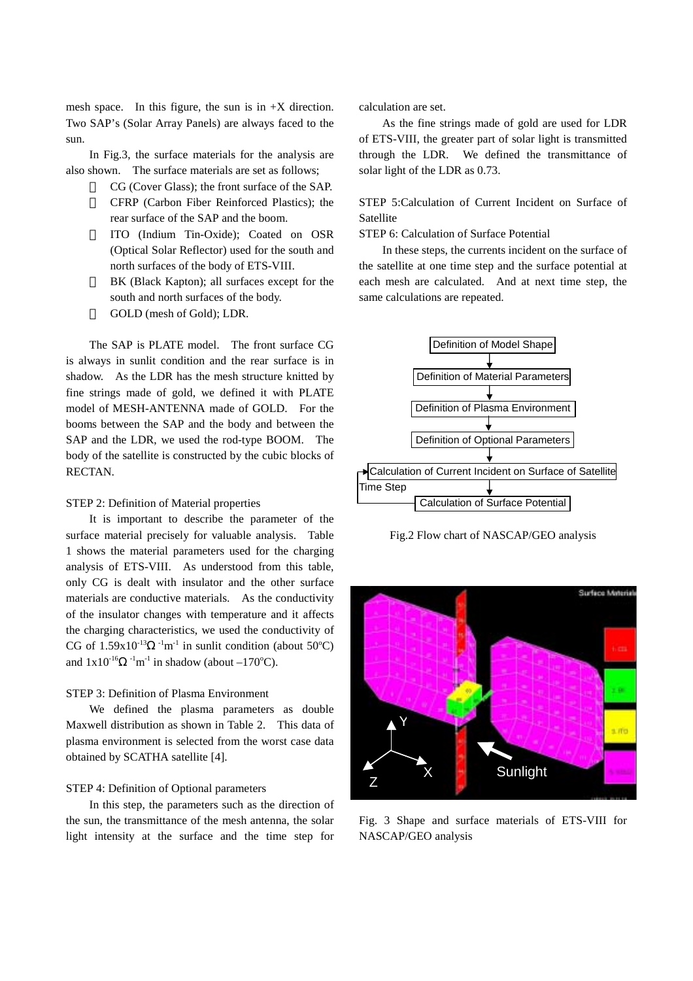mesh space. In this figure, the sun is in  $+X$  direction. Two SAP's (Solar Array Panels) are always faced to the sun.

In Fig.3, the surface materials for the analysis are also shown. The surface materials are set as follows;

> CG (Cover Glass); the front surface of the SAP. CFRP (Carbon Fiber Reinforced Plastics); the rear surface of the SAP and the boom.

> ITO (Indium Tin-Oxide); Coated on OSR (Optical Solar Reflector) used for the south and north surfaces of the body of ETS-VIII.

> BK (Black Kapton); all surfaces except for the south and north surfaces of the body. GOLD (mesh of Gold); LDR.

The SAP is PLATE model. The front surface CG is always in sunlit condition and the rear surface is in shadow. As the LDR has the mesh structure knitted by fine strings made of gold, we defined it with PLATE model of MESH-ANTENNA made of GOLD. For the booms between the SAP and the body and between the SAP and the LDR, we used the rod-type BOOM. The body of the satellite is constructed by the cubic blocks of RECTAN.

## STEP 2: Definition of Material properties

It is important to describe the parameter of the surface material precisely for valuable analysis. Table 1 shows the material parameters used for the charging analysis of ETS-VIII. As understood from this table, only CG is dealt with insulator and the other surface materials are conductive materials. As the conductivity of the insulator changes with temperature and it affects the charging characteristics, we used the conductivity of CG of  $1.59x10^{-13}$   $^{-1}$ m<sup>-1</sup> in sunlit condition (about 50°C) and  $1x10^{-16}$   $^{-1}m^{-1}$  in shadow (about  $-170^{\circ}C$ ).

# STEP 3: Definition of Plasma Environment

We defined the plasma parameters as double Maxwell distribution as shown in Table 2. This data of plasma environment is selected from the worst case data obtained by SCATHA satellite [4].

#### STEP 4: Definition of Optional parameters

In this step, the parameters such as the direction of the sun, the transmittance of the mesh antenna, the solar light intensity at the surface and the time step for

calculation are set.

As the fine strings made of gold are used for LDR of ETS-VIII, the greater part of solar light is transmitted through the LDR. We defined the transmittance of solar light of the LDR as 0.73.

STEP 5:Calculation of Current Incident on Surface of **Satellite** 

STEP 6: Calculation of Surface Potential

In these steps, the currents incident on the surface of the satellite at one time step and the surface potential at each mesh are calculated. And at next time step, the same calculations are repeated.



Fig.2 Flow chart of NASCAP/GEO analysis



Fig. 3 Shape and surface materials of ETS-VIII for NASCAP/GEO analysis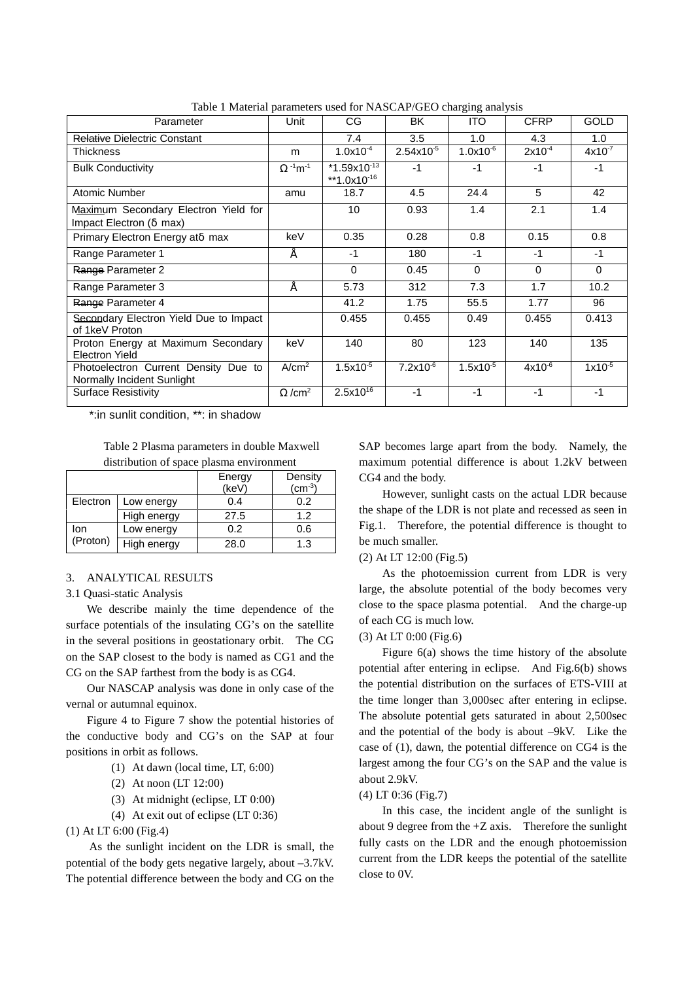| $\frac{1}{2}$ and $\frac{1}{2}$ and $\frac{1}{2}$ and $\frac{1}{2}$ and $\frac{1}{2}$ and $\frac{1}{2}$ and $\frac{1}{2}$ and $\frac{1}{2}$ and $\frac{1}{2}$ |                   |                                             |                |               |             |             |  |  |
|---------------------------------------------------------------------------------------------------------------------------------------------------------------|-------------------|---------------------------------------------|----------------|---------------|-------------|-------------|--|--|
| Parameter                                                                                                                                                     | Unit              | CG                                          | BK             | <b>ITO</b>    | <b>CFRP</b> | <b>GOLD</b> |  |  |
| Relative Dielectric Constant                                                                                                                                  |                   | 7.4                                         | 3.5            | 1.0           | 4.3         | 1.0         |  |  |
| Thickness                                                                                                                                                     | m                 | $1.0x10^{-4}$                               | $2.54x10^{-5}$ | $1.0x10^{-6}$ | $2x10^{-4}$ | $4x10^{-7}$ |  |  |
| <b>Bulk Conductivity</b>                                                                                                                                      | $-1$ m $-1$       | $*1.59x10^{-13}$<br>**1.0x10 <sup>-16</sup> | $-1$           | $-1$          | $-1$        | $-1$        |  |  |
| Atomic Number                                                                                                                                                 | amu               | 18.7                                        | 4.5            | 24.4          | 5           | 42          |  |  |
| Maximum Secondary Electron Yield for<br>Impact Electron (max)                                                                                                 |                   | 10                                          | 0.93           | 1.4           | 2.1         | 1.4         |  |  |
| Primary Electron Energy at max                                                                                                                                | keV               | 0.35                                        | 0.28           | 0.8           | 0.15        | 0.8         |  |  |
| Range Parameter 1                                                                                                                                             |                   | $-1$                                        | 180            | $-1$          | $-1$        | $-1$        |  |  |
| Range Parameter 2                                                                                                                                             |                   | $\Omega$                                    | 0.45           | $\Omega$      | $\Omega$    | $\Omega$    |  |  |
| Range Parameter 3                                                                                                                                             |                   | 5.73                                        | 312            | 7.3           | 1.7         | 10.2        |  |  |
| Range Parameter 4                                                                                                                                             |                   | 41.2                                        | 1.75           | 55.5          | 1.77        | 96          |  |  |
| Secondary Electron Yield Due to Impact<br>of 1keV Proton                                                                                                      |                   | 0.455                                       | 0.455          | 0.49          | 0.455       | 0.413       |  |  |
| Proton Energy at Maximum Secondary<br>Electron Yield                                                                                                          | keV               | 140                                         | 80             | 123           | 140         | 135         |  |  |
| Photoelectron Current Density Due to<br>Normally Incident Sunlight                                                                                            | A/cm <sup>2</sup> | $1.5x10^{-5}$                               | $7.2x10^{-6}$  | $1.5x10^{-5}$ | $4x10^{-6}$ | $1x10^{-5}$ |  |  |
| <b>Surface Resistivity</b>                                                                                                                                    | /cm <sup>2</sup>  | $2.5x10^{16}$                               | $-1$           | $-1$          | $-1$        | $-1$        |  |  |

Table 1 Material parameters used for NASCAP/GEO charging analysis

\*:in sunlit condition, \*\*: in shadow

Table 2 Plasma parameters in double Maxwell

distribution of space plasma environment

|                 |             | Energy<br>(keV) | Density<br>$(cm^{-3})$ |
|-----------------|-------------|-----------------|------------------------|
| Electron        | Low energy  | 0.4             | 0.2                    |
|                 | High energy | 27.5            | 1.2                    |
| lon<br>(Proton) | Low energy  | 0.2             | 0.6                    |
|                 | High energy | 28.0            | 1.3                    |

### 3. ANALYTICAL RESULTS

#### 3.1 Quasi-static Analysis

We describe mainly the time dependence of the surface potentials of the insulating CG's on the satellite in the several positions in geostationary orbit. The CG on the SAP closest to the body is named as CG1 and the CG on the SAP farthest from the body is as CG4.

Our NASCAP analysis was done in only case of the vernal or autumnal equinox.

Figure 4 to Figure 7 show the potential histories of the conductive body and CG's on the SAP at four positions in orbit as follows.

- (1) At dawn (local time, LT, 6:00)
- (2) At noon (LT 12:00)
- (3) At midnight (eclipse, LT 0:00)
- (4) At exit out of eclipse (LT 0:36)

(1) At LT 6:00 (Fig.4)

As the sunlight incident on the LDR is small, the potential of the body gets negative largely, about –3.7kV. The potential difference between the body and CG on the SAP becomes large apart from the body. Namely, the maximum potential difference is about 1.2kV between CG4 and the body.

However, sunlight casts on the actual LDR because the shape of the LDR is not plate and recessed as seen in Fig.1. Therefore, the potential difference is thought to be much smaller.

# (2) At LT 12:00 (Fig.5)

As the photoemission current from LDR is very large, the absolute potential of the body becomes very close to the space plasma potential. And the charge-up of each CG is much low.

## (3) At LT 0:00 (Fig.6)

Figure 6(a) shows the time history of the absolute potential after entering in eclipse. And Fig.6(b) shows the potential distribution on the surfaces of ETS-VIII at the time longer than 3,000sec after entering in eclipse. The absolute potential gets saturated in about 2,500sec and the potential of the body is about –9kV. Like the case of (1), dawn, the potential difference on CG4 is the largest among the four CG's on the SAP and the value is about 2.9kV.

## (4) LT 0:36 (Fig.7)

In this case, the incident angle of the sunlight is about 9 degree from the  $+Z$  axis. Therefore the sunlight fully casts on the LDR and the enough photoemission current from the LDR keeps the potential of the satellite close to 0V.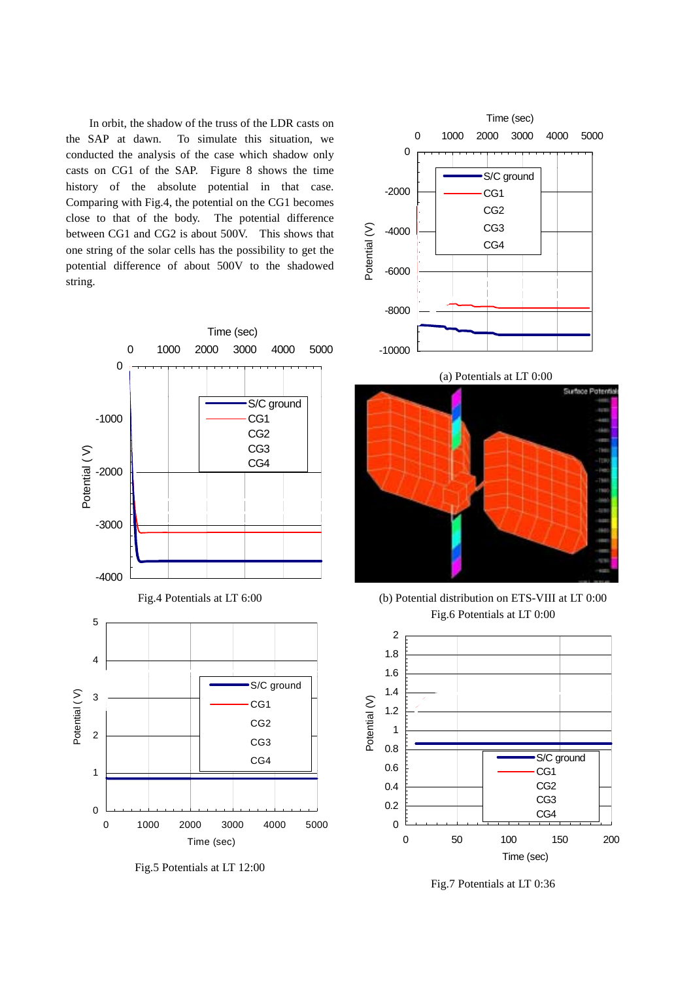In orbit, the shadow of the truss of the LDR casts on the SAP at dawn. To simulate this situation, we conducted the analysis of the case which shadow only casts on CG1 of the SAP. Figure 8 shows the time history of the absolute potential in that case. Comparing with Fig.4, the potential on the CG1 becomes close to that of the body. The potential difference between CG1 and CG2 is about 500V. This shows that one string of the solar cells has the possibility to get the potential difference of about 500V to the shadowed string.



Fig.5 Potentials at LT 12:00



(b) Potential distribution on ETS-VIII at LT 0:00 Fig.6 Potentials at LT 0:00



Fig.7 Potentials at LT 0:36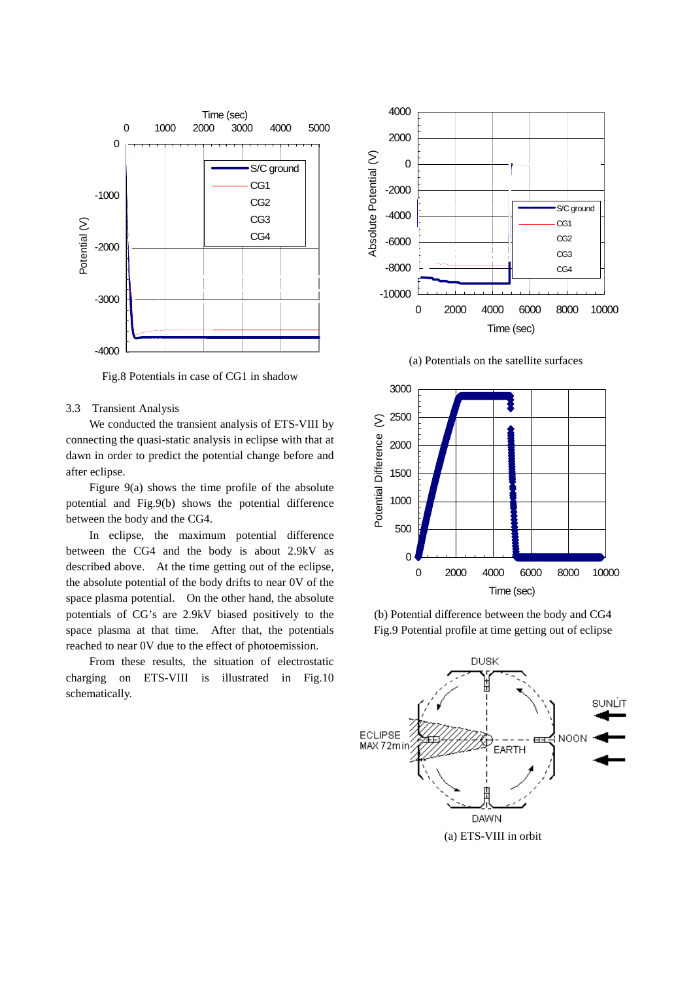

Fig.8 Potentials in case of CG1 in shadow

## 3.3 Transient Analysis

We conducted the transient analysis of ETS-VIII by connecting the quasi-static analysis in eclipse with that at dawn in order to predict the potential change before and after eclipse.

Figure 9(a) shows the time profile of the absolute potential and Fig.9(b) shows the potential difference between the body and the CG4.

In eclipse, the maximum potential difference between the CG4 and the body is about 2.9kV as described above. At the time getting out of the eclipse, the absolute potential of the body drifts to near 0V of the space plasma potential. On the other hand, the absolute potentials of CG's are 2.9kV biased positively to the space plasma at that time. After that, the potentials reached to near 0V due to the effect of photoemission.

From these results, the situation of electrostatic charging on ETS-VIII is illustrated in Fig.10 schematically.



(a) Potentials on the satellite surfaces



(b) Potential difference between the body and CG4 Fig.9 Potential profile at time getting out of eclipse